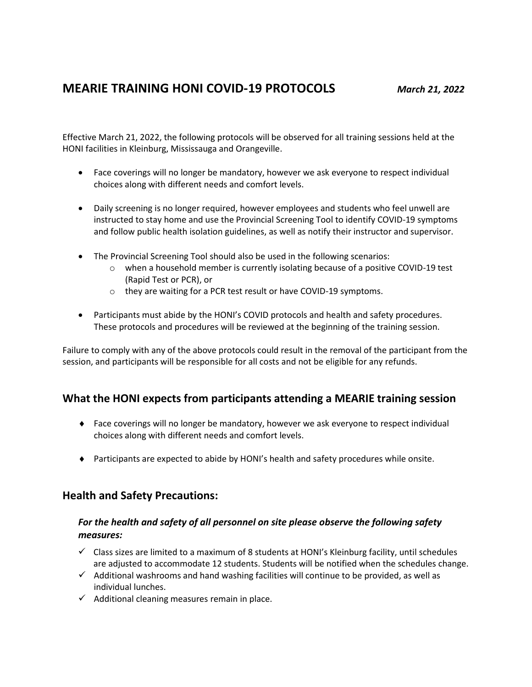# **MEARIE TRAINING HONI COVID-19 PROTOCOLS** *March 21, 2022*

Effective March 21, 2022, the following protocols will be observed for all training sessions held at the HONI facilities in Kleinburg, Mississauga and Orangeville.

- Face coverings will no longer be mandatory, however we ask everyone to respect individual choices along with different needs and comfort levels.
- Daily screening is no longer required, however employees and students who feel unwell are instructed to stay home and use the Provincial Screening Tool to identify COVID-19 symptoms and follow public health isolation guidelines, as well as notify their instructor and supervisor.
- The Provincial Screening Tool should also be used in the following scenarios:
	- $\circ$  when a household member is currently isolating because of a positive COVID-19 test (Rapid Test or PCR), or
	- o they are waiting for a PCR test result or have COVID-19 symptoms.
- Participants must abide by the HONI's COVID protocols and health and safety procedures. These protocols and procedures will be reviewed at the beginning of the training session.

Failure to comply with any of the above protocols could result in the removal of the participant from the session, and participants will be responsible for all costs and not be eligible for any refunds.

# **What the HONI expects from participants attending a MEARIE training session**

- Face coverings will no longer be mandatory, however we ask everyone to respect individual choices along with different needs and comfort levels.
- Participants are expected to abide by HONI's health and safety procedures while onsite.

# **Health and Safety Precautions:**

### *For the health and safety of all personnel on site please observe the following safety measures:*

- $\checkmark$  Class sizes are limited to a maximum of 8 students at HONI's Kleinburg facility, until schedules are adjusted to accommodate 12 students. Students will be notified when the schedules change.
- $\checkmark$  Additional washrooms and hand washing facilities will continue to be provided, as well as individual lunches.
- $\checkmark$  Additional cleaning measures remain in place.